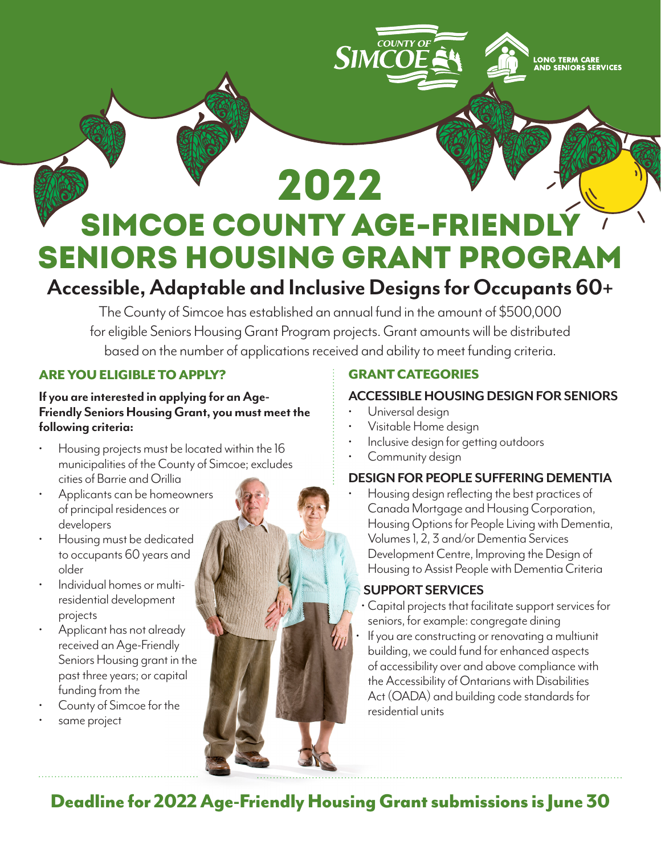# SIMCOE COUNTY AGE-FRII Seniors Housing Grant Program 2022

# **Accessible, Adaptable and Inclusive Designs for Occupants 60+**

The County of Simcoe has established an annual fund in the amount of \$500,000 for eligible Seniors Housing Grant Program projects. Grant amounts will be distributed based on the number of applications received and ability to meet funding criteria.

# ARE YOU ELIGIBLE TO APPLY?

#### **If you are interested in applying for an Age-Friendly Seniors Housing Grant, you must meet the following criteria:**

- Housing projects must be located within the 16 municipalities of the County of Simcoe; excludes cities of Barrie and Orillia
- Applicants can be homeowners of principal residences or developers
- Housing must be dedicated to occupants 60 years and older
- Individual homes or multiresidential development projects
- Applicant has not already received an Age-Friendly Seniors Housing grant in the past three years; or capital funding from the
- County of Simcoe for the same project
- 

# GRANT CATEGORIES

COUNTY OF

**SIMCOF** 

# **ACCESSIBLE HOUSING DESIGN FOR SENIORS**

LONG TERM CAR<mark>E</mark><br>AND SENIORS SERVICES

- Universal design
- Visitable Home design
- Inclusive design for getting outdoors
- Community design

## **DESIGN FOR PEOPLE SUFFERING DEMENTIA**

• Housing design reflecting the best practices of Canada Mortgage and Housing Corporation, Housing Options for People Living with Dementia, Volumes 1, 2, 3 and/or Dementia Services Development Centre, Improving the Design of Housing to Assist People with Dementia Criteria

# **SUPPORT SERVICES**

- Capital projects that facilitate support services for seniors, for example: congregate dining
- If you are constructing or renovating a multiunit building, we could fund for enhanced aspects of accessibility over and above compliance with the Accessibility of Ontarians with Disabilities Act (OADA) and building code standards for residential units

Deadline for 2022 Age-Friendly Housing Grant submissions is June 30